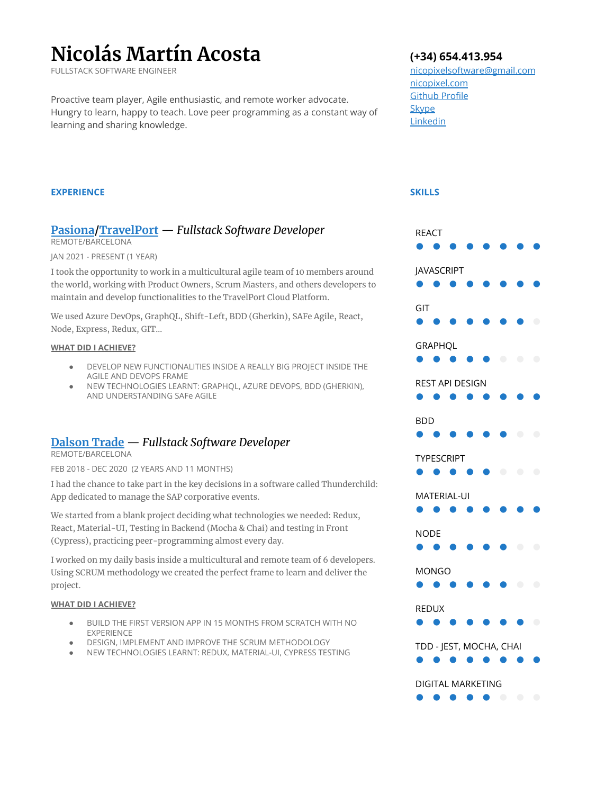# **Nicolás Martín Acosta**

FULLSTACK SOFTWARE ENGINEER

Proactive team player, Agile enthusiastic, and remote worker advocate. Hungry to learn, happy to teach. Love peer programming as a constant way of learning and sharing knowledge.

### **EXPERIENCE**

# **[Pasiona](https://pasiona.com/)[/TravelPort](https://www.travelport.com/)** — *Fullstack Software Developer*

REMOTE/BARCELONA

JAN 2021 - PRESENT (1 YEAR)

I took the opportunity to work in a multicultural agile team of 10 members around the world, working with Product Owners, Scrum Masters, and others developers to maintain and develop functionalities to the TravelPort Cloud Platform.

We used Azure DevOps, GraphQL, Shift-Left, BDD (Gherkin), SAFe Agile, React, Node, Express, Redux, GIT…

#### **WHAT DID I ACHIEVE?**

- DEVELOP NEW FUNCTIONALITIES INSIDE A REALLY BIG PROJECT INSIDE THE AGILE AND DEVOPS FRAME
- NEW TECHNOLOGIES LEARNT: GRAPHQL, AZURE DEVOPS, BDD (GHERKIN), AND UNDERSTANDING SAFe AGILE

# **[Dalson](https://www.dalsontrade.com/) Trade** — *Fullstack Software Developer*

REMOTE/BARCELONA

FEB 2018 - DEC 2020 (2 YEARS AND 11 MONTHS)

I had the chance to take part in the key decisions in a software called Thunderchild: App dedicated to manage the SAP corporative events.

We started from a blank project deciding what technologies we needed: Redux, React, Material-UI, Testing in Backend (Mocha & Chai) and testing in Front (Cypress), practicing peer-programming almost every day.

I worked on my daily basis inside a multicultural and remote team of 6 developers. Using SCRUM methodology we created the perfect frame to learn and deliver the project.

#### **WHAT DID I ACHIEVE?**

- BUILD THE FIRST VERSION APP IN 15 MONTHS FROM SCRATCH WITH NO EXPERIENCE
- DESIGN, IMPLEMENT AND IMPROVE THE SCRUM METHODOLOGY
- NEW TECHNOLOGIES LEARNT: REDUX, MATERIAL-UI, CYPRESS TESTING

## **(+34) 654.413.954**

[nicopixelsoftware@gmail.com](mailto:nicopixelsoftware@gmail.com) n[icopixel.com](https://nicopixel.com/) [Github Profile](https://github.com/nicopixel) **[Skype](https://join.skype.com/invite/NZA706GaaGub)** [Linkedin](https://www.linkedin.com/in/nicolasmartinacosta/)

**SKILLS**